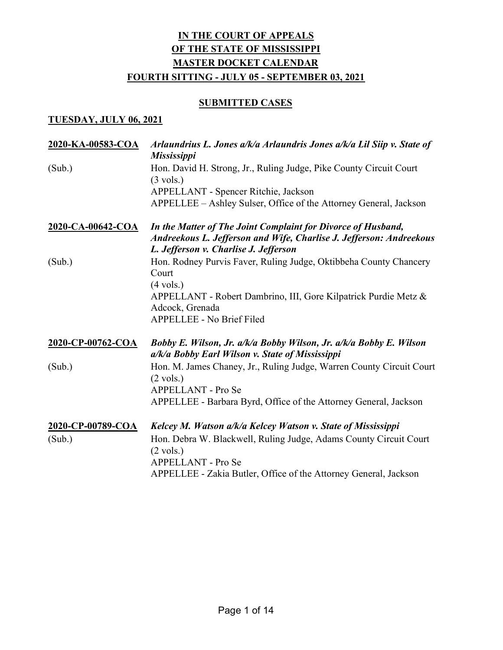### **SUBMITTED CASES**

### TUESDAY, JULY 06, 2021

| 2020-KA-00583-COA | Arlaundrius L. Jones a/k/a Arlaundris Jones a/k/a Lil Siip v. State of<br><b>Mississippi</b>                                                                                 |
|-------------------|------------------------------------------------------------------------------------------------------------------------------------------------------------------------------|
| (Sub.)            | Hon. David H. Strong, Jr., Ruling Judge, Pike County Circuit Court<br>$(3 \text{ vols.})$                                                                                    |
|                   | APPELLANT - Spencer Ritchie, Jackson<br>APPELLEE - Ashley Sulser, Office of the Attorney General, Jackson                                                                    |
| 2020-CA-00642-COA | In the Matter of The Joint Complaint for Divorce of Husband,<br>Andreekous L. Jefferson and Wife, Charlise J. Jefferson: Andreekous<br>L. Jefferson v. Charlise J. Jefferson |
| (Sub.)            | Hon. Rodney Purvis Faver, Ruling Judge, Oktibbeha County Chancery<br>Court<br>$(4 \text{ vols.})$                                                                            |
|                   | APPELLANT - Robert Dambrino, III, Gore Kilpatrick Purdie Metz &<br>Adcock, Grenada<br><b>APPELLEE - No Brief Filed</b>                                                       |
|                   |                                                                                                                                                                              |
| 2020-CP-00762-COA | Bobby E. Wilson, Jr. a/k/a Bobby Wilson, Jr. a/k/a Bobby E. Wilson<br>a/k/a Bobby Earl Wilson v. State of Mississippi                                                        |
| (Sub.)            | Hon. M. James Chaney, Jr., Ruling Judge, Warren County Circuit Court<br>$(2 \text{ vols.})$                                                                                  |
|                   | APPELLANT - Pro Se<br>APPELLEE - Barbara Byrd, Office of the Attorney General, Jackson                                                                                       |
| 2020-CP-00789-COA | Kelcey M. Watson a/k/a Kelcey Watson v. State of Mississippi                                                                                                                 |
| (Sub.)            | Hon. Debra W. Blackwell, Ruling Judge, Adams County Circuit Court<br>$(2 \text{ vols.})$                                                                                     |
|                   | <b>APPELLANT - Pro Se</b>                                                                                                                                                    |
|                   | APPELLEE - Zakia Butler, Office of the Attorney General, Jackson                                                                                                             |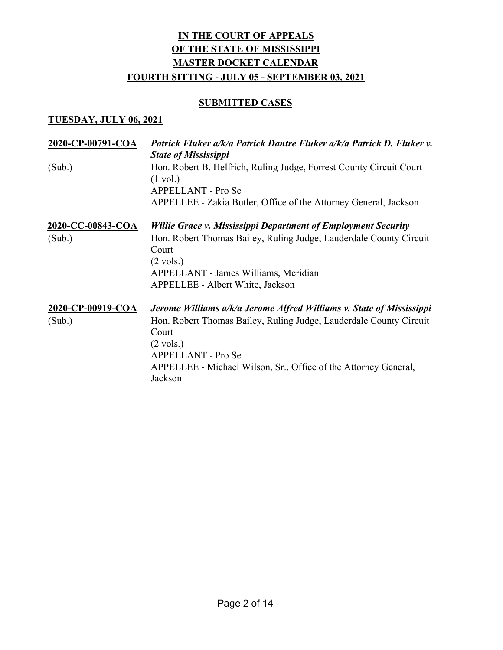### **SUBMITTED CASES**

#### TUESDAY, JULY 06, 2021

| 2020-CP-00791-COA        | Patrick Fluker a/k/a Patrick Dantre Fluker a/k/a Patrick D. Fluker v.<br><b>State of Mississippi</b>            |
|--------------------------|-----------------------------------------------------------------------------------------------------------------|
| (Sub.)                   | Hon. Robert B. Helfrich, Ruling Judge, Forrest County Circuit Court<br>$(1 \text{ vol.})$<br>APPELLANT - Pro Se |
|                          | APPELLEE - Zakia Butler, Office of the Attorney General, Jackson                                                |
| <u>2020-CC-00843-COA</u> | Willie Grace v. Mississippi Department of Employment Security                                                   |
| (Sub.)                   | Hon. Robert Thomas Bailey, Ruling Judge, Lauderdale County Circuit<br>Court<br>$(2 \text{ vols.})$              |
|                          | APPELLANT - James Williams, Meridian                                                                            |
|                          | APPELLEE - Albert White, Jackson                                                                                |
| 2020-CP-00919-COA        | Jerome Williams a/k/a Jerome Alfred Williams v. State of Mississippi                                            |
| (Sub.)                   | Hon. Robert Thomas Bailey, Ruling Judge, Lauderdale County Circuit<br>Court<br>$(2 \text{ vols.})$              |
|                          | <b>APPELLANT - Pro Se</b>                                                                                       |
|                          | APPELLEE - Michael Wilson, Sr., Office of the Attorney General,<br>Jackson                                      |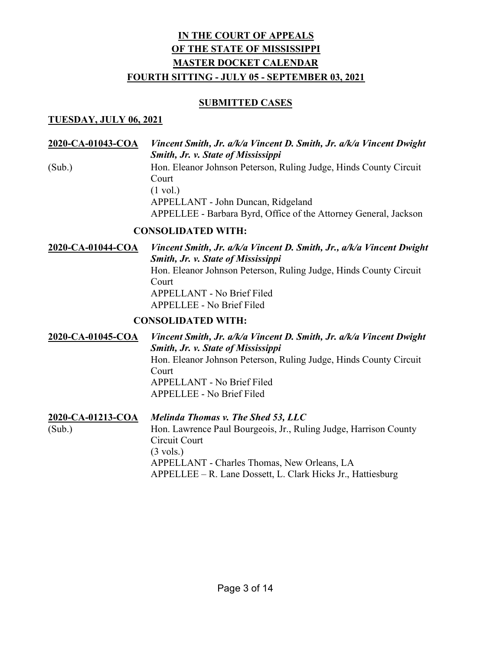### SUBMITTED CASES

### TUESDAY, JULY 06, 2021

2020-CA-01043-COA Vincent Smith, Jr. a/k/a Vincent D. Smith, Jr. a/k/a Vincent Dwight Smith, Jr. v. State of Mississippi (Sub.) Hon. Eleanor Johnson Peterson, Ruling Judge, Hinds County Circuit Court (1 vol.) APPELLANT - John Duncan, Ridgeland APPELLEE - Barbara Byrd, Office of the Attorney General, Jackson

### CONSOLIDATED WITH:

2020-CA-01044-COA Vincent Smith, Jr. a/k/a Vincent D. Smith, Jr., a/k/a Vincent Dwight Smith, Jr. v. State of Mississippi Hon. Eleanor Johnson Peterson, Ruling Judge, Hinds County Circuit Court APPELLANT - No Brief Filed APPELLEE - No Brief Filed CONSOLIDATED WITH:

2020-CA-01045-COA Vincent Smith, Jr. a/k/a Vincent D. Smith, Jr. a/k/a Vincent Dwight Smith, Jr. v. State of Mississippi Hon. Eleanor Johnson Peterson, Ruling Judge, Hinds County Circuit Court APPELLANT - No Brief Filed APPELLEE - No Brief Filed 2020-CA-01213-COA Melinda Thomas v. The Shed 53, LLC

(Sub.) Hon. Lawrence Paul Bourgeois, Jr., Ruling Judge, Harrison County Circuit Court (3 vols.) APPELLANT - Charles Thomas, New Orleans, LA APPELLEE – R. Lane Dossett, L. Clark Hicks Jr., Hattiesburg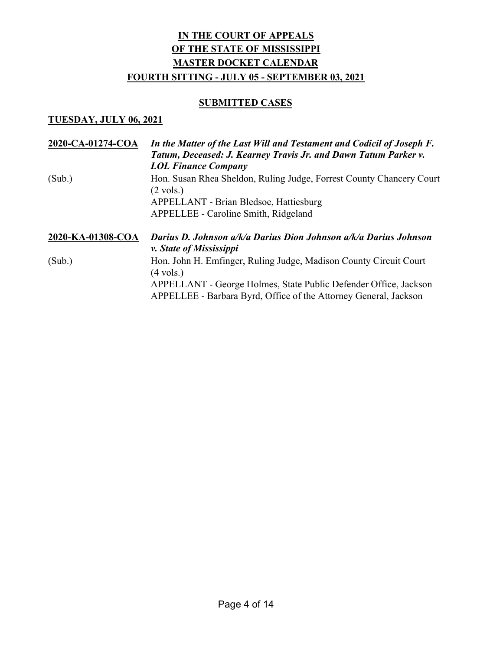### **SUBMITTED CASES**

### TUESDAY, JULY 06, 2021

| 2020-CA-01274-COA | In the Matter of the Last Will and Testament and Codicil of Joseph F.<br>Tatum, Deceased: J. Kearney Travis Jr. and Dawn Tatum Parker v.<br><b>LOL Finance Company</b> |
|-------------------|------------------------------------------------------------------------------------------------------------------------------------------------------------------------|
| (Sub.)            | Hon. Susan Rhea Sheldon, Ruling Judge, Forrest County Chancery Court<br>$(2 \text{ vols.})$                                                                            |
|                   | <b>APPELLANT - Brian Bledsoe, Hattiesburg</b>                                                                                                                          |
|                   | APPELLEE - Caroline Smith, Ridgeland                                                                                                                                   |
| 2020-KA-01308-COA | Darius D. Johnson a/k/a Darius Dion Johnson a/k/a Darius Johnson<br><i>v. State of Mississippi</i>                                                                     |
| (Sub.)            | Hon. John H. Emfinger, Ruling Judge, Madison County Circuit Court<br>$(4 \text{ vols.})$                                                                               |
|                   | APPELLANT - George Holmes, State Public Defender Office, Jackson<br>APPELLEE - Barbara Byrd, Office of the Attorney General, Jackson                                   |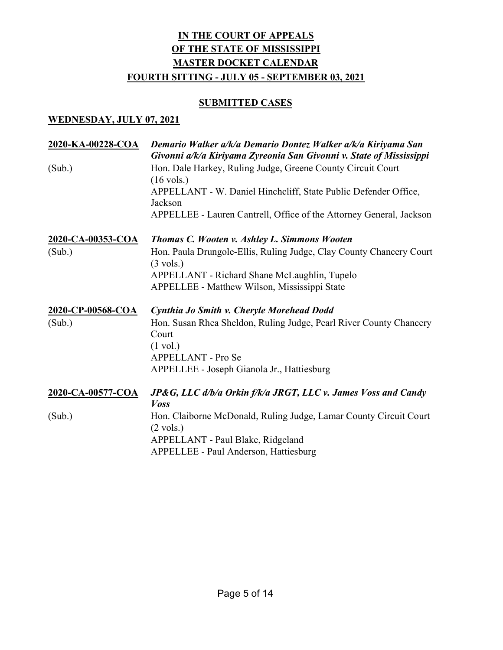### **SUBMITTED CASES**

### WEDNESDAY, JULY 07, 2021

| 2020-KA-00228-COA        | Demario Walker a/k/a Demario Dontez Walker a/k/a Kiriyama San<br>Givonni a/k/a Kiriyama Zyreonia San Givonni v. State of Mississippi |
|--------------------------|--------------------------------------------------------------------------------------------------------------------------------------|
| (Sub.)                   | Hon. Dale Harkey, Ruling Judge, Greene County Circuit Court<br>$(16 \text{ vols.})$                                                  |
|                          | APPELLANT - W. Daniel Hinchcliff, State Public Defender Office,<br>Jackson                                                           |
|                          | APPELLEE - Lauren Cantrell, Office of the Attorney General, Jackson                                                                  |
| <u>2020-CA-00353-COA</u> | Thomas C. Wooten v. Ashley L. Simmons Wooten                                                                                         |
| (Sub.)                   | Hon. Paula Drungole-Ellis, Ruling Judge, Clay County Chancery Court<br>$(3 \text{ vols.})$                                           |
|                          | APPELLANT - Richard Shane McLaughlin, Tupelo                                                                                         |
|                          | APPELLEE - Matthew Wilson, Mississippi State                                                                                         |
| 2020-CP-00568-COA        | Cynthia Jo Smith v. Cheryle Morehead Dodd                                                                                            |
| (Sub.)                   | Hon. Susan Rhea Sheldon, Ruling Judge, Pearl River County Chancery<br>Court                                                          |
|                          | $(1 \text{ vol.})$                                                                                                                   |
|                          | APPELLANT - Pro Se                                                                                                                   |
|                          | APPELLEE - Joseph Gianola Jr., Hattiesburg                                                                                           |
| 2020-CA-00577-COA        | JP&G, LLC d/b/a Orkin f/k/a JRGT, LLC v. James Voss and Candy<br><b>Voss</b>                                                         |
| (Sub.)                   | Hon. Claiborne McDonald, Ruling Judge, Lamar County Circuit Court<br>$(2 \text{ vols.})$                                             |
|                          | APPELLANT - Paul Blake, Ridgeland                                                                                                    |
|                          | APPELLEE - Paul Anderson, Hattiesburg                                                                                                |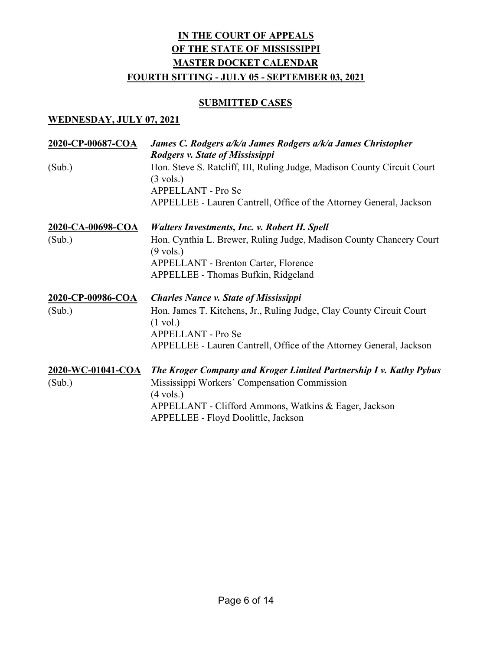### **SUBMITTED CASES**

### WEDNESDAY, JULY 07, 2021

| 2020-CP-00687-COA           | James C. Rodgers a/k/a James Rodgers a/k/a James Christopher<br><b>Rodgers v. State of Mississippi</b>                                                                                             |
|-----------------------------|----------------------------------------------------------------------------------------------------------------------------------------------------------------------------------------------------|
| (Sub.)                      | Hon. Steve S. Ratcliff, III, Ruling Judge, Madison County Circuit Court<br>$(3 \text{ vols.})$<br><b>APPELLANT - Pro Se</b><br>APPELLEE - Lauren Cantrell, Office of the Attorney General, Jackson |
| 2020-CA-00698-COA           | <b>Walters Investments, Inc. v. Robert H. Spell</b>                                                                                                                                                |
| (Sub.)                      | Hon. Cynthia L. Brewer, Ruling Judge, Madison County Chancery Court<br>$(9 \text{ vols.})$                                                                                                         |
|                             | <b>APPELLANT - Brenton Carter, Florence</b><br>APPELLEE - Thomas Bufkin, Ridgeland                                                                                                                 |
| 2020-CP-00986-COA           | <b>Charles Nance v. State of Mississippi</b>                                                                                                                                                       |
| (Sub.)                      | Hon. James T. Kitchens, Jr., Ruling Judge, Clay County Circuit Court<br>$(1 \text{ vol.})$                                                                                                         |
|                             | <b>APPELLANT - Pro Se</b>                                                                                                                                                                          |
|                             | APPELLEE - Lauren Cantrell, Office of the Attorney General, Jackson                                                                                                                                |
| 2020-WC-01041-COA<br>(Sub.) | The Kroger Company and Kroger Limited Partnership I v. Kathy Pybus<br>Mississippi Workers' Compensation Commission<br>$(4 \text{ vols.})$                                                          |
|                             | APPELLANT - Clifford Ammons, Watkins & Eager, Jackson<br>APPELLEE - Floyd Doolittle, Jackson                                                                                                       |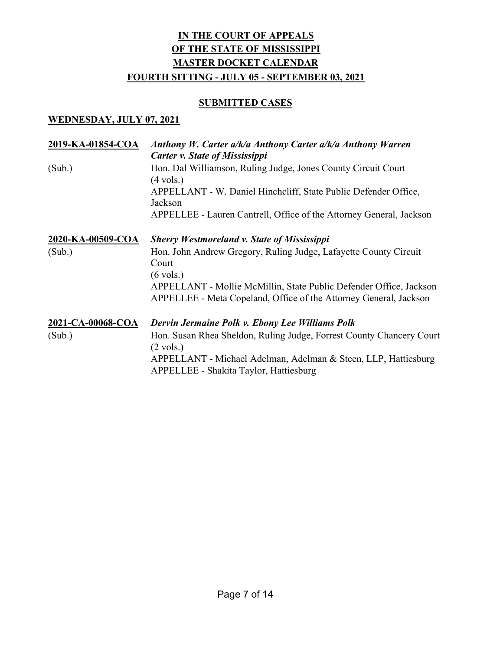### **SUBMITTED CASES**

### WEDNESDAY, JULY 07, 2021

| 2019-KA-01854-COA | Anthony W. Carter a/k/a Anthony Carter a/k/a Anthony Warren<br><b>Carter v. State of Mississippi</b>                                                           |
|-------------------|----------------------------------------------------------------------------------------------------------------------------------------------------------------|
| (Sub.)            | Hon. Dal Williamson, Ruling Judge, Jones County Circuit Court<br>$(4 \text{ vols.})$                                                                           |
|                   | APPELLANT - W. Daniel Hinchcliff, State Public Defender Office,<br>Jackson                                                                                     |
|                   | APPELLEE - Lauren Cantrell, Office of the Attorney General, Jackson                                                                                            |
| 2020-KA-00509-COA | <b>Sherry Westmoreland v. State of Mississippi</b>                                                                                                             |
| (Sub.)            | Hon. John Andrew Gregory, Ruling Judge, Lafayette County Circuit<br>Court                                                                                      |
|                   | $(6 \text{ vols.})$<br>APPELLANT - Mollie McMillin, State Public Defender Office, Jackson<br>APPELLEE - Meta Copeland, Office of the Attorney General, Jackson |
| 2021-CA-00068-COA | Dervin Jermaine Polk v. Ebony Lee Williams Polk                                                                                                                |
| (Sub.)            | Hon. Susan Rhea Sheldon, Ruling Judge, Forrest County Chancery Court<br>$(2 \text{ vols.})$                                                                    |
|                   | APPELLANT - Michael Adelman, Adelman & Steen, LLP, Hattiesburg<br>APPELLEE - Shakita Taylor, Hattiesburg                                                       |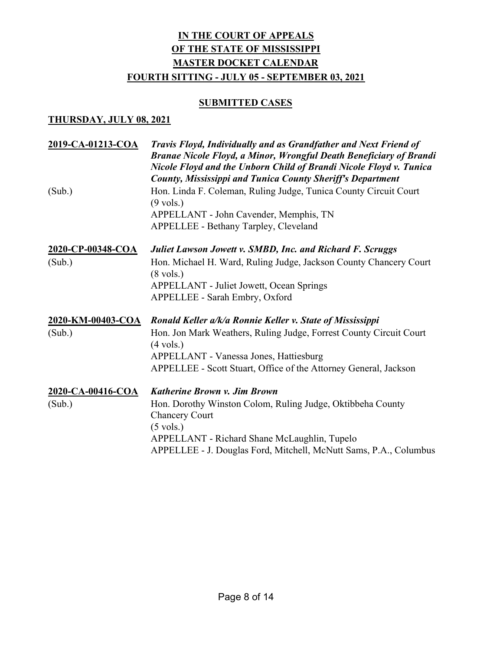### **SUBMITTED CASES**

| 2019-CA-01213-COA | Travis Floyd, Individually and as Grandfather and Next Friend of<br>Branae Nicole Floyd, a Minor, Wrongful Death Beneficiary of Brandi<br>Nicole Floyd and the Unborn Child of Brandi Nicole Floyd v. Tunica<br><b>County, Mississippi and Tunica County Sheriff's Department</b> |
|-------------------|-----------------------------------------------------------------------------------------------------------------------------------------------------------------------------------------------------------------------------------------------------------------------------------|
| (Sub.)            | Hon. Linda F. Coleman, Ruling Judge, Tunica County Circuit Court<br>$(9 \text{ vols.})$                                                                                                                                                                                           |
|                   | APPELLANT - John Cavender, Memphis, TN                                                                                                                                                                                                                                            |
|                   | APPELLEE - Bethany Tarpley, Cleveland                                                                                                                                                                                                                                             |
| 2020-CP-00348-COA | Juliet Lawson Jowett v. SMBD, Inc. and Richard F. Scruggs                                                                                                                                                                                                                         |
| (Sub.)            | Hon. Michael H. Ward, Ruling Judge, Jackson County Chancery Court<br>$(8 \text{ vols.})$                                                                                                                                                                                          |
|                   | <b>APPELLANT - Juliet Jowett, Ocean Springs</b>                                                                                                                                                                                                                                   |
|                   | APPELLEE - Sarah Embry, Oxford                                                                                                                                                                                                                                                    |
| 2020-KM-00403-COA | Ronald Keller a/k/a Ronnie Keller v. State of Mississippi                                                                                                                                                                                                                         |
| (Sub.)            | Hon. Jon Mark Weathers, Ruling Judge, Forrest County Circuit Court<br>$(4 \text{ vols.})$                                                                                                                                                                                         |
|                   | APPELLANT - Vanessa Jones, Hattiesburg                                                                                                                                                                                                                                            |
|                   | APPELLEE - Scott Stuart, Office of the Attorney General, Jackson                                                                                                                                                                                                                  |
| 2020-CA-00416-COA | Katherine Brown v. Jim Brown                                                                                                                                                                                                                                                      |
| (Sub.)            | Hon. Dorothy Winston Colom, Ruling Judge, Oktibbeha County<br><b>Chancery Court</b>                                                                                                                                                                                               |
|                   | $(5 \text{ vols.})$                                                                                                                                                                                                                                                               |
|                   | APPELLANT - Richard Shane McLaughlin, Tupelo                                                                                                                                                                                                                                      |
|                   | APPELLEE - J. Douglas Ford, Mitchell, McNutt Sams, P.A., Columbus                                                                                                                                                                                                                 |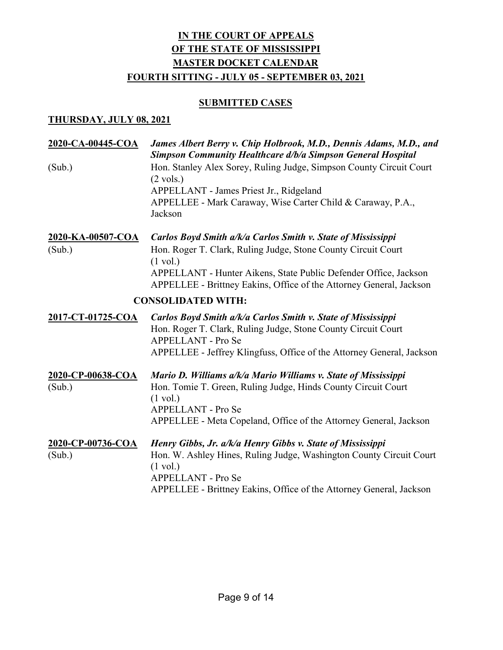### **SUBMITTED CASES**

| 2020-CA-00445-COA                  | James Albert Berry v. Chip Holbrook, M.D., Dennis Adams, M.D., and<br><b>Simpson Community Healthcare d/b/a Simpson General Hospital</b>                                                                                                                    |
|------------------------------------|-------------------------------------------------------------------------------------------------------------------------------------------------------------------------------------------------------------------------------------------------------------|
| (Sub.)                             | Hon. Stanley Alex Sorey, Ruling Judge, Simpson County Circuit Court<br>$(2 \text{ vols.})$<br>APPELLANT - James Priest Jr., Ridgeland<br>APPELLEE - Mark Caraway, Wise Carter Child & Caraway, P.A.,                                                        |
|                                    | Jackson                                                                                                                                                                                                                                                     |
| <u>2020-KA-00507-COA</u><br>(Sub.) | Carlos Boyd Smith a/k/a Carlos Smith v. State of Mississippi<br>Hon. Roger T. Clark, Ruling Judge, Stone County Circuit Court<br>$(1 \text{ vol.})$<br>APPELLANT - Hunter Aikens, State Public Defender Office, Jackson                                     |
|                                    | APPELLEE - Brittney Eakins, Office of the Attorney General, Jackson<br><b>CONSOLIDATED WITH:</b>                                                                                                                                                            |
|                                    |                                                                                                                                                                                                                                                             |
| 2017-CT-01725-COA                  | Carlos Boyd Smith a/k/a Carlos Smith v. State of Mississippi<br>Hon. Roger T. Clark, Ruling Judge, Stone County Circuit Court<br>APPELLANT - Pro Se<br>APPELLEE - Jeffrey Klingfuss, Office of the Attorney General, Jackson                                |
| 2020-CP-00638-COA<br>(Sub.)        | Mario D. Williams a/k/a Mario Williams v. State of Mississippi<br>Hon. Tomie T. Green, Ruling Judge, Hinds County Circuit Court<br>$(1 \text{ vol.})$<br>APPELLANT - Pro Se<br>APPELLEE - Meta Copeland, Office of the Attorney General, Jackson            |
| 2020-CP-00736-COA<br>(Sub.)        | Henry Gibbs, Jr. a/k/a Henry Gibbs v. State of Mississippi<br>Hon. W. Ashley Hines, Ruling Judge, Washington County Circuit Court<br>$(1 \text{ vol.})$<br><b>APPELLANT - Pro Se</b><br>APPELLEE - Brittney Eakins, Office of the Attorney General, Jackson |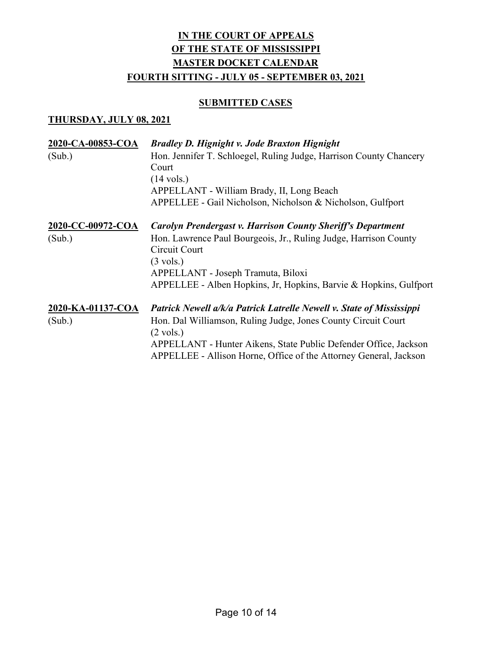### **SUBMITTED CASES**

| 2020-CA-00853-COA<br>(Sub.) | <b>Bradley D. Hignight v. Jode Braxton Hignight</b><br>Hon. Jennifer T. Schloegel, Ruling Judge, Harrison County Chancery<br>Court<br>$(14 \text{ vols.})$<br>APPELLANT - William Brady, II, Long Beach<br>APPELLEE - Gail Nicholson, Nicholson & Nicholson, Gulfport                                 |
|-----------------------------|-------------------------------------------------------------------------------------------------------------------------------------------------------------------------------------------------------------------------------------------------------------------------------------------------------|
| 2020-CC-00972-COA<br>(Sub.) | Carolyn Prendergast v. Harrison County Sheriff's Department<br>Hon. Lawrence Paul Bourgeois, Jr., Ruling Judge, Harrison County<br>Circuit Court<br>$(3 \text{ vols.})$<br>APPELLANT - Joseph Tramuta, Biloxi<br>APPELLEE - Alben Hopkins, Jr, Hopkins, Barvie & Hopkins, Gulfport                    |
| 2020-KA-01137-COA<br>(Sub.) | Patrick Newell a/k/a Patrick Latrelle Newell v. State of Mississippi<br>Hon. Dal Williamson, Ruling Judge, Jones County Circuit Court<br>$(2 \text{ vols.})$<br>APPELLANT - Hunter Aikens, State Public Defender Office, Jackson<br>APPELLEE - Allison Horne, Office of the Attorney General, Jackson |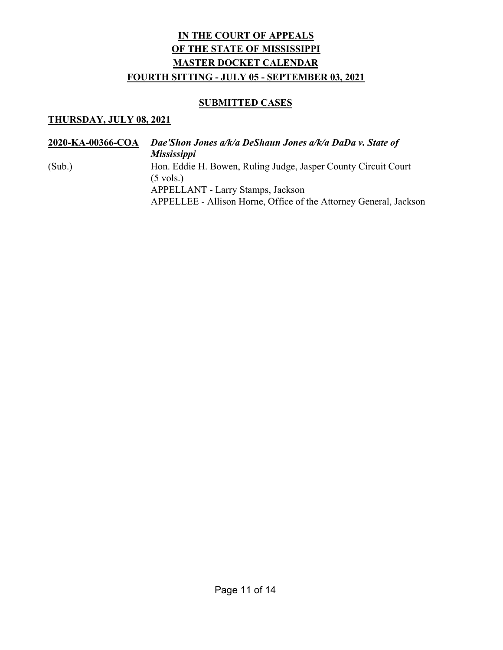### **SUBMITTED CASES**

| 2020-KA-00366-COA | Dae'Shon Jones a/k/a DeShaun Jones a/k/a DaDa v. State of<br><i>Mississippi</i>                        |
|-------------------|--------------------------------------------------------------------------------------------------------|
| (Sub.)            | Hon. Eddie H. Bowen, Ruling Judge, Jasper County Circuit Court<br>$(5 \text{ vols.})$                  |
|                   | APPELLANT - Larry Stamps, Jackson<br>APPELLEE - Allison Horne, Office of the Attorney General, Jackson |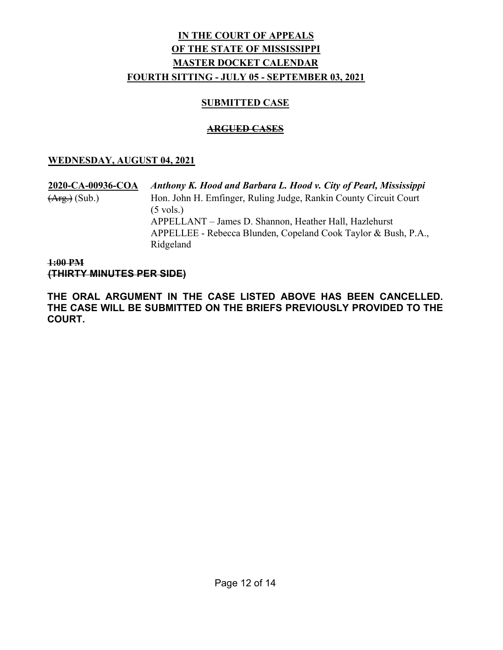### SUBMITTED CASE

### ARGUED CASES

### WEDNESDAY, AUGUST 04, 2021

2020-CA-00936-COA Anthony K. Hood and Barbara L. Hood v. City of Pearl, Mississippi (Arg.) (Sub.) Hon. John H. Emfinger, Ruling Judge, Rankin County Circuit Court  $(5 \text{ vols.})$  APPELLANT – James D. Shannon, Heather Hall, Hazlehurst APPELLEE - Rebecca Blunden, Copeland Cook Taylor & Bush, P.A., Ridgeland

1:00 PM (THIRTY MINUTES PER SIDE)

THE ORAL ARGUMENT IN THE CASE LISTED ABOVE HAS BEEN CANCELLED. THE CASE WILL BE SUBMITTED ON THE BRIEFS PREVIOUSLY PROVIDED TO THE COURT.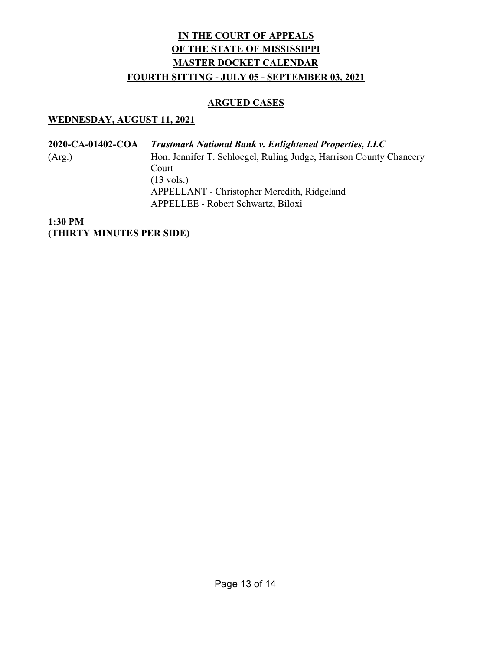### ARGUED CASES

### WEDNESDAY, AUGUST 11, 2021

2020-CA-01402-COA Trustmark National Bank v. Enlightened Properties, LLC (Arg.) Hon. Jennifer T. Schloegel, Ruling Judge, Harrison County Chancery Court (13 vols.) APPELLANT - Christopher Meredith, Ridgeland APPELLEE - Robert Schwartz, Biloxi

1:30 PM (THIRTY MINUTES PER SIDE)